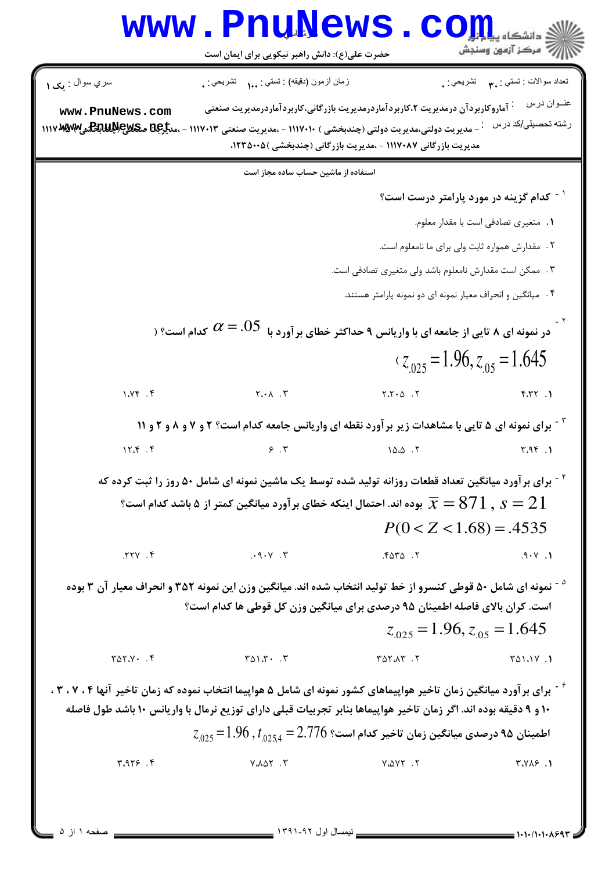|                                                                                                                                                                                                                                          | حضرت علی(ع): دانش راهبر نیکویی برای ایمان است                                                                                                                                                                                                                             |                                                                                                                   | ر آمرڪز آزمون وسنڊش                                 |  |  |
|------------------------------------------------------------------------------------------------------------------------------------------------------------------------------------------------------------------------------------------|---------------------------------------------------------------------------------------------------------------------------------------------------------------------------------------------------------------------------------------------------------------------------|-------------------------------------------------------------------------------------------------------------------|-----------------------------------------------------|--|--|
| سري سوال : مح ١                                                                                                                                                                                                                          | زمان أزمون (دقيقه) : تستي :  تشريحي : .                                                                                                                                                                                                                                   |                                                                                                                   |                                                     |  |  |
| www.PnuNews.com<br><b>IIIV WANN BULLY CWS DELU.</b>                                                                                                                                                                                      | عنــوان درس<br><sup>:</sup> آماروکاربردآن درمدیریت ۲،کاربردآماردرمدیریت بازرگانی،کاربردآماردرمدیریت صنعتی<br>رشته تحصيلي/كد درس<br>- مديريت دولتي،مديريت دولتي (چندبخشي ) ١١١٧٠١٠ - ،مديريت صنعتي ١١١٧٠١٣<br>مدیریت بازرگانی ۱۱۱۷۰۸۷ - ،مدیریت بازرگانی (چندبخشی )۲۳۵۰۰۵، |                                                                                                                   |                                                     |  |  |
|                                                                                                                                                                                                                                          | استفاده از ماشین حساب ساده مجاز است                                                                                                                                                                                                                                       |                                                                                                                   |                                                     |  |  |
|                                                                                                                                                                                                                                          |                                                                                                                                                                                                                                                                           |                                                                                                                   | <sup>۱ -</sup> کدام گزینه در مورد پارامتر درست است؟ |  |  |
|                                                                                                                                                                                                                                          |                                                                                                                                                                                                                                                                           |                                                                                                                   | ١. متغيري تصادفي است با مقدار معلوم.                |  |  |
|                                                                                                                                                                                                                                          |                                                                                                                                                                                                                                                                           | ۰۲ مقدارش همواره ثابت ولی برای ما نامعلوم است.                                                                    |                                                     |  |  |
|                                                                                                                                                                                                                                          |                                                                                                                                                                                                                                                                           | ۰۳ ممکن است مقدارش نامعلوم باشد ولی متغیری تصادفی است.                                                            |                                                     |  |  |
|                                                                                                                                                                                                                                          |                                                                                                                                                                                                                                                                           | ۰۴ میانگین و انحراف معیار نمونه ای دو نمونه پارامتر هستند.                                                        |                                                     |  |  |
|                                                                                                                                                                                                                                          | کدام است؟ ( $\alpha$ $=$ .05                                                                                                                                                                                                                                              | در نمونه ای ۸ تایی از جامعه ای با واریانس ۹ حداکثر خطای بر آورد با                                                |                                                     |  |  |
|                                                                                                                                                                                                                                          |                                                                                                                                                                                                                                                                           |                                                                                                                   | $z_{.025} = 1.96$ , $z_{.05} = 1.645$               |  |  |
| 1.195.9                                                                                                                                                                                                                                  | $Y \cdot \Lambda$ .                                                                                                                                                                                                                                                       | $Y \cdot Y \cdot \Delta$ .                                                                                        | f.TY.1                                              |  |  |
|                                                                                                                                                                                                                                          |                                                                                                                                                                                                                                                                           | <b>قت برای نمونه ای ۵ تایی با مشاهدات زیر بر آورد نقطه ای واریانس جامعه کدام است؟ ۲ و ۷ و ۸ و ۲ و ۱۱</b>          |                                                     |  |  |
| 15.5                                                                                                                                                                                                                                     | 9.7                                                                                                                                                                                                                                                                       | 10.0.7                                                                                                            | 4.95.1                                              |  |  |
|                                                                                                                                                                                                                                          |                                                                                                                                                                                                                                                                           | <sup>۴ -</sup> برای برآورد میانگین تعداد قطعات روزانه تولید شده توسط یک ماشین نمونه ای شامل ۵۰ روز را ثبت کرده که |                                                     |  |  |
|                                                                                                                                                                                                                                          |                                                                                                                                                                                                                                                                           | بوده اند. احتمال اینکه خطای بر آورد میانگین کمتر از ۵ باشد کدام است؟ $\overline{x} = 871\, , \, s = 21$           |                                                     |  |  |
|                                                                                                                                                                                                                                          |                                                                                                                                                                                                                                                                           | $P(0 < Z < 1.68) = .4535$                                                                                         |                                                     |  |  |
| Y. YY.                                                                                                                                                                                                                                   | $\cdot$ 9 $\cdot$ Y $\cdot$ $\cdot$                                                                                                                                                                                                                                       | .5070.7                                                                                                           | .9.1                                                |  |  |
| <sup>۵ -</sup> نمونه ای شامل ۵۰ قوطی کنسرو از خط تولید انتخاب شده اند. میانگین وزن این نمونه ۳۵۲ و انحراف معیار آن ۳ بوده                                                                                                                |                                                                                                                                                                                                                                                                           | است. کران بالای فاصله اطمینان ۹۵ درصدی برای میانگین وزن کل قوطی ها کدام است؟                                      |                                                     |  |  |
|                                                                                                                                                                                                                                          |                                                                                                                                                                                                                                                                           | $z_{0.025} = 1.96$ , $z_{0.05} = 1.645$                                                                           |                                                     |  |  |
| $T\Delta Y. Y \cdot . \cdot F$                                                                                                                                                                                                           | $T \wedge T \wedge T$                                                                                                                                                                                                                                                     | $Y \triangle Y \triangle Y$ . $Y$                                                                                 | $T\Delta$ 1.1 $V$ .1                                |  |  |
| گ - برای برآورد میانگین زمان تاخیر هواپیماهای کشور نمونه ای شامل ۵ هواپیما انتخاب نموده که زمان تاخیر آنها ۰۲،۷۰۴ ،<br>۱۰ و ۹ دقیقه بوده اند. اگر زمان تاخیر هواپیماها بنابر تجربیات قبلی دارای توزیع نرمال با واریانس ۱۰ باشد طول فاصله |                                                                                                                                                                                                                                                                           |                                                                                                                   |                                                     |  |  |
|                                                                                                                                                                                                                                          |                                                                                                                                                                                                                                                                           | $z_{.025}^{}\!=\!1.96\,,t_{.0254}^{}\!=\!2.776\,$ اطمینان ۹۵ درصدی میانگین زمان تاخیر کدام است؟                   |                                                     |  |  |
| 4.919                                                                                                                                                                                                                                    | $Y \wedge \Delta Y$ . $Y$                                                                                                                                                                                                                                                 | $Y \triangle V Y$ .                                                                                               | $Y.Y\lambda9$ .                                     |  |  |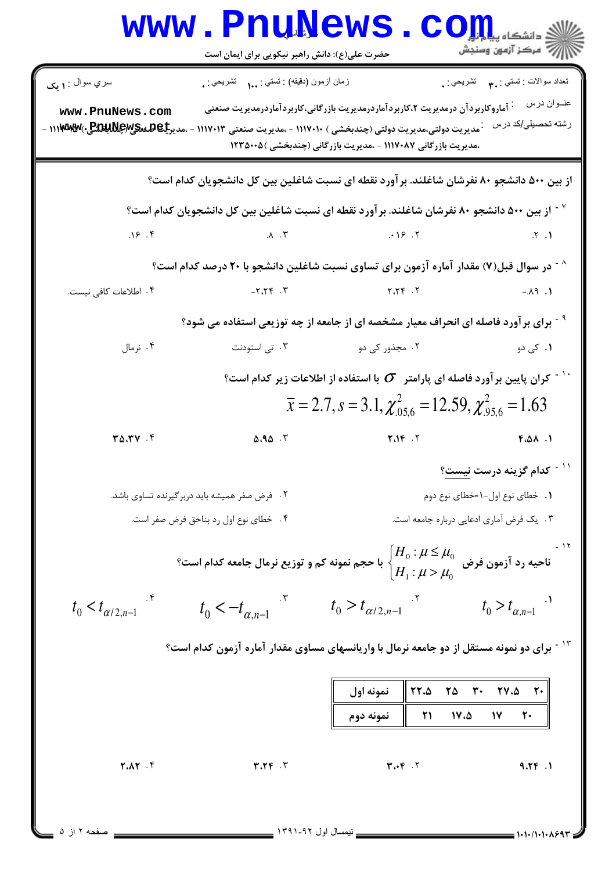|                                                                                                                                                            | حضرت علی(ع): دانش راهبر نیکویی برای ایمان است |                                                                                                                                                                                                                                                                            | دانشگاه پی <mark>ا</mark><br>رِ ۖ مرڪز آزمون وسنڊش                           |  |  |
|------------------------------------------------------------------------------------------------------------------------------------------------------------|-----------------------------------------------|----------------------------------------------------------------------------------------------------------------------------------------------------------------------------------------------------------------------------------------------------------------------------|------------------------------------------------------------------------------|--|--|
| سري سوال : ۱ يک                                                                                                                                            | زمان أزمون (دقيقه) : تستي : ١.٠ تشريحي : .    |                                                                                                                                                                                                                                                                            | تعداد سوالات : تستي : <sub>. ٣</sub> تشريحي : .                              |  |  |
| www.PnuNews.com                                                                                                                                            |                                               | <sup>:</sup> آماروکاربردآن درمدیریت ۲،کاربردآماردرمدیریت بازرگانی،کاربردآماردرمدیریت صنعتی<br><b>00 مديريت دولتي،مديريت دولتي (چندبخشي ) ١١١٧٠١٠ - ،مديريت صنعتي ١١١٧٠١٣ - ،مديركيكلفككيMESW) - ١١١٣٧M</b><br>،مدیریت بازرگانی ۱۱۱۷۰۸۷ - ،مدیریت بازرگانی (چندبخشی )۲۳۵۰۰۵ | عنوان درس<br>رشته تحصيلي/كد درس                                              |  |  |
|                                                                                                                                                            |                                               | از بین ۵۰۰ دانشجو ۸۰ نفرشان شاغلند. برآورد نقطه ای نسبت شاغلین بین کل دانشجویان کدام است؟                                                                                                                                                                                  |                                                                              |  |  |
|                                                                                                                                                            |                                               | <sup>٧ -</sup> از بین ۵۰۰ دانشجو ۸۰ نفرشان شاغلند. برآورد نقطه ای نسبت شاغلین بین کل دانشجویان کدام است؟                                                                                                                                                                   |                                                                              |  |  |
| .19.9                                                                                                                                                      | $\Lambda$ . ۳                                 | .98.7                                                                                                                                                                                                                                                                      | .5.1                                                                         |  |  |
|                                                                                                                                                            |                                               | ^ - در سوال قبل(۷) مقدار آماره آزمون برای تساوی نسبت شاغلین دانشجو با ۲۰ درصد کدام است؟                                                                                                                                                                                    |                                                                              |  |  |
| ۴. اطلاعات كافي نيست.                                                                                                                                      | $7.77 - 7.7$                                  | 7.797                                                                                                                                                                                                                                                                      | $-.AA$ .                                                                     |  |  |
| <sup>۹</sup> <sup>-</sup> برای برآورد فاصله ای انحراف معیار مشخصه ای از جامعه از چه توزیعی استفاده می شود؟                                                 |                                               |                                                                                                                                                                                                                                                                            |                                                                              |  |  |
| ۰۴ نرمال                                                                                                                                                   | ۰۳ تی استودنت                                 | ۲. مجذور کی دو                                                                                                                                                                                                                                                             | ۰۱ کی دو                                                                     |  |  |
| $^{\circ}$ ار کران پایین بر آورد فاصله ای پارامتر $\,\,\sigma\,$ با استفاده از اطلاعات زیر کدام است $^{\circ}$                                             |                                               |                                                                                                                                                                                                                                                                            |                                                                              |  |  |
|                                                                                                                                                            |                                               | $\bar{x} = 2.7$ , $s = 3.1$ , $\chi^2_{.05.6} = 12.59$ , $\chi^2_{.95.6} = 1.63$                                                                                                                                                                                           |                                                                              |  |  |
| $T\Delta, T\vee$ .                                                                                                                                         | <b>8.95</b> ک                                 | $Y \cdot Y$                                                                                                                                                                                                                                                                | <b>F.AA.</b>                                                                 |  |  |
|                                                                                                                                                            |                                               |                                                                                                                                                                                                                                                                            | <sup>۱۱ -</sup> کدام گزینه درست <u>نیست</u> ؟                                |  |  |
|                                                                                                                                                            | ۲. فرض صفر همیشه باید دربر گیرنده تساوی باشد. |                                                                                                                                                                                                                                                                            | ۰۱ خطای نوع اول-۱=خطای نوع دوم                                               |  |  |
|                                                                                                                                                            | ۰۴ خطای نوع اول رد بناحق فرض صفر است.         | ۰۳ . یک فرض آماری ادعایی درباره جامعه است.                                                                                                                                                                                                                                 |                                                                              |  |  |
| ناحیه رد آزمون فرض $\mu_0$ $\mu\leq\mu_0$ با حجم نمونه کم و توزیع نرمال جامعه کدام است؟ $\begin{cases} H_0: \mu \leq \mu_0 \ H_1: \mu > \mu_0 \end{cases}$ |                                               |                                                                                                                                                                                                                                                                            |                                                                              |  |  |
|                                                                                                                                                            |                                               | $t_0 < t_{\alpha/2,n-1}$ $t_0 < -t_{\alpha,n-1}$ $t_0 > t_{\alpha/2,n-1}$ $t_0 > t_{\alpha,n-1}$                                                                                                                                                                           |                                                                              |  |  |
| ۱ <sup>۳ -</sup> برای دو نمونه مستقل از دو جامعه نرمال با واریانسهای مساوی مقدار آماره آزمون کدام است؟                                                     |                                               |                                                                                                                                                                                                                                                                            |                                                                              |  |  |
|                                                                                                                                                            |                                               | 22.8<br>نمونه اول<br>21<br>17.5<br>نمونه دوم                                                                                                                                                                                                                               | $\begin{bmatrix} 1 & 0 \\ 0 & 1 \end{bmatrix}$<br>$\mathsf{Y}$ +<br>۱۷<br>20 |  |  |
| Y.AY .f                                                                                                                                                    | $T.7F$ . $T$                                  | $T \cdot F \cdot V$                                                                                                                                                                                                                                                        | 9.79.1                                                                       |  |  |
| صفحه ۲ از ۵                                                                                                                                                |                                               |                                                                                                                                                                                                                                                                            |                                                                              |  |  |

= 1・1・/1・1・1.692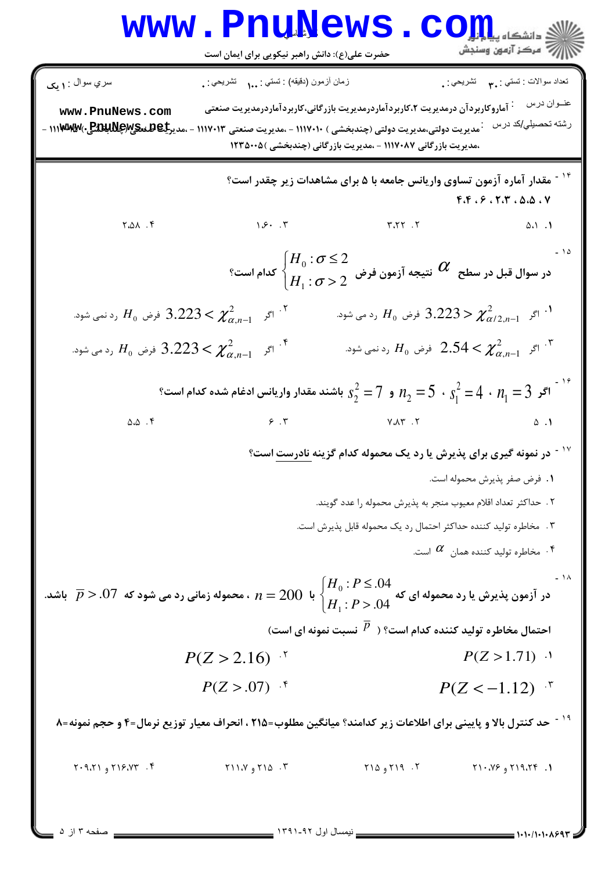## WWW.PnuNews.com |<br>||*||ح* مرکز آزمون وسنجش حضرت علی(ع): دانش راهبر نیکویی برای ایمان است نعداد سوالات : تستبي : ٣**٠** نشريحي : . سري سوال : **۱ یک** زمان أزمون (دقيقه) : تستي : ... تشريحي : . عنــوان در س پسم آماروکاربردآن درمدیریت ۲،کاربردآماردرمدیریت بازرگانی،کاربردآماردرمدیریت صنعتی www.PnuNews.com رشته تحصیلی/کد درس میریت دولتی،مدیریت دولتی (چندبخشی ) ۱۱۱۷۰۱۰ - ،مدیریت صنعتی ۱۱۱۷۰۱۳ - ،مدیر**جاهلندی(پلاپلاتی**)۱۱۱**۷۸۰۷ -**،مدیریت بازرگانی ۱۱۱۷۰۸۷ - ،مدیریت بازرگانی (چندبخشی )۲۳۵۰۰۵ <sup>۰۱ -</sup> مقدار آماره آزمون تساوی واریانس جامعه با ۵ برای مشاهدات زیر چقدر است؟  $F.F. P. T.F. \Delta. \Delta. V$  $1.5.7$  $Y.A.A.A.$  $Y,YY, Y$  $\Delta \Delta$   $\Delta$  $-10$  $\left\{ \begin{aligned} &H_0: \sigma \leq 2 \ &H_0 \cdot \sigma < 2 \end{aligned} \right. \ \text{and} \ \left\{ \begin{aligned} &H_0: \sigma \leq 2 \ &H \cdot \sigma > 2 \end{aligned} \right.$ در سوال قبل در سطح  $\left. \begin{aligned} &\mathcal{C} \end{aligned} \right.$  کدام است ۰۱ اگر  $\chi^2_{\alpha^{\prime}$   $<$   $<$  3.223 فرض  $H_0$  رد می شود.  $^1$ اگر  $\chi^2_{\alpha, n-1} \geq 3.223 < \chi^2_{\alpha, n-1}$  رد نمی شود.  $H_0$ اگر  $\chi^2_{\alpha\,n-1}$  وره می شود.  $\chi^2_{\alpha\,n-1}$  رد می شود.  $^{\mathfrak k}$ اگر  $\chi^2_{\alpha\,n-1}$  فرض  $H_0$  رد نمی شود.  $^2$ و  $r_2 = r_2^2 + r_1^2 = 5$  باشند مقدار واریانس ادغام شده کدام است؟  $n_2 = 5$  ،  $s_1^2 = 4 \, \cdot \, n_1 = 3$  اگر  $\overline{\phantom{x}}^{18}$  $\Delta \cdot \Delta$ .  $9.7$  $V \Lambda Y$ .  $\Delta$  .  $\Lambda$ <sup>۱۷ -</sup> در نمونه گیری برای پذیرش یا رد یک محموله کدام گزینه <u>نادرست</u> است؟ ٠١. فرض صفر پذيرش محموله است. ٢ . حداكثر تعداد اقلام معيوب منجر به پذيرش محموله را عدد گويند. ۰۳ مخاطره تولید کننده حداکثر احتمال رد یک محموله قابل پذیرش است. ۰۴ مخاطره تولید کننده همان  $\alpha$  است.  $^*$ در آزمون پذیرش یا رد محموله ای که  $\{H_0: P\leq .04\ A\}\neq n=200\,$  ، محموله زمانی رد می شود که  $D>0$ . $\overline{P}>0$  باشد. احتمال مخاطره تولید کننده کدام است؟ (  $\overline{P}$  نسبت نمونه ای است)  $P(Z > 1.71)$  ·  $P(Z > 2.16)^{-1}$  $P(Z > .07)$  f  $P(Z < -1.12)^{15}$ <sup>۱۹ -</sup> حد کنترل بالا و پایینی برای اطلاعات زیر کدامند؟ میانگین مطلوب=۲۱۵ ، انحراف معیار توزیع نرمال=۴ و حجم نمونه=۸ ۲. ۲۱۹ و ۲۱۵ ۲۰۹،۲۱۶،۷۳ و ۲۰۹،۲۱ ۳. ۲۱۱، ۲۱۱،۷ و ۲۱۱،۷  $Y1.797$  و ۲۱۹،۲۴ صفحه ۳ از ۵ \_ نیمسال اول ۹۲-۱۳۹۱ \_ 1.1.1.1.1.299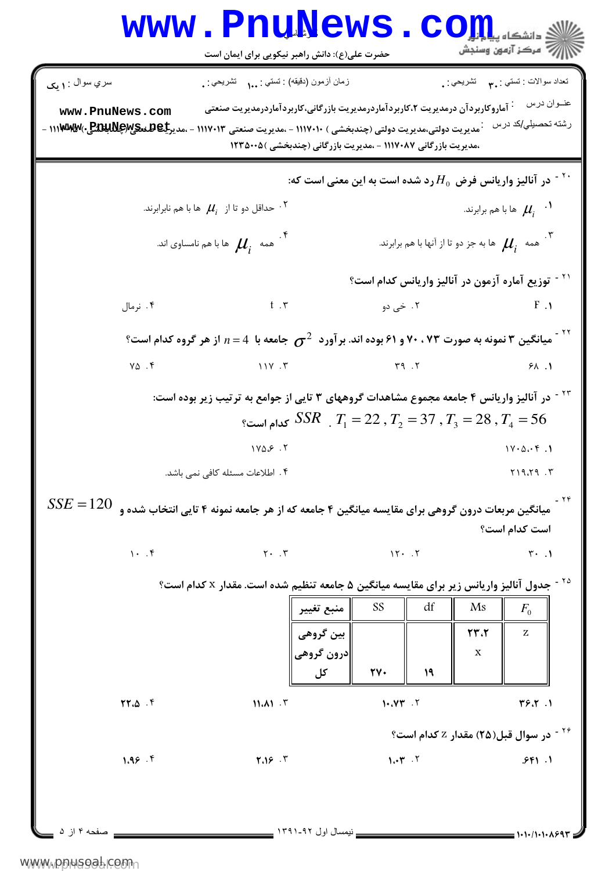| WWW                                                                                                                                                                                                                                                                                                                                                                                                                                                                                                                                                                                                                                                                                                                                                                                                                                                                                                                                                                                                                                                                                                                | EXAMPLE | EXAMPLE | EXAMPLE |
|--------------------------------------------------------------------------------------------------------------------------------------------------------------------------------------------------------------------------------------------------------------------------------------------------------------------------------------------------------------------------------------------------------------------------------------------------------------------------------------------------------------------------------------------------------------------------------------------------------------------------------------------------------------------------------------------------------------------------------------------------------------------------------------------------------------------------------------------------------------------------------------------------------------------------------------------------------------------------------------------------------------------------------------------------------------------------------------------------------------------|---------|---------|---------|
| \n $\sum_{(x,y)\in\{0,1\}^{n}} \sum_{(x,y)\in\{0,1\}^{n}} \sum_{(x,y)\in\{0,1\}^{n}} \sum_{(x,y)\in\{0,1\}^{n}} \sum_{(x,y)\in\{0,1\}^{n}} \sum_{(x,y)\in\{0,1\}^{n}} \sum_{(x,y)\in\{0,1\}^{n}} \sum_{(x,y)\in\{0,1\}^{n}} \sum_{(x,y)\in\{0,1\}^{n}} \sum_{(x,y)\in\{0,1\}^{n}} \sum_{(x,y)\in\{0,1\}^{n}} \sum_{(x,y)\in\{0,1\}^{n}} \sum_{(x,y)\in\{0,1\}^{n}} \sum_{(x,y)\in\{0,1\}^{n}} \sum_{(x,y)\in\{0,1\}^{n}} \sum_{(x,y)\in\{0,1\}^{n}} \sum_{(x,y)\in\{0,1\}^{n}} \sum_{(x,y)\in\{0,1\}^{n}} \sum_{(x,y)\in\{0,1\}^{n}} \sum_{(x,y)\in\{0,1\}^{n}} \sum_{(x,y)\in\{0,1\}^{n}} \sum_{(x,y)\in\{0,1\}^{n}} \sum_{(x,y)\in\{0,1\}^{n}} \sum_{(x,y)\in\{0,1\}^{n}} \sum_{(x,y)\in\{0,1\}^{n}} \sum_{(x,y)\in\{0,1\}^{n}} \sum_{(x,y)\in\{0,1\}^{n}} \sum_{(x,y)\in\{0,1\}^{n}} \sum_{(x,y)\in\{0,1\}^{n}} \sum_{(x,y)\in\{0,1\}^{n}} \sum_{(x,y)\in\{0,1\}^{n}} \sum_{(x,y)\in\{0,1\}^{n}} \sum_{(x,y)\in\{0,1\}^{n}} \sum_{(x,y)\in\{0,1\}^{n}} \sum_{(x,y)\in\{0,1\}^{n}} \sum_{(x,y)\in\{0,1\}^{n}} \sum_{(x,y)\in\{0,1\}^{n}} \sum_{(x,y)\in\{0,1\}^{n}} \sum_{(x,y)\in\{0,1\}^{n}} \sum_{(x,y)\in\{$ |         |         |         |